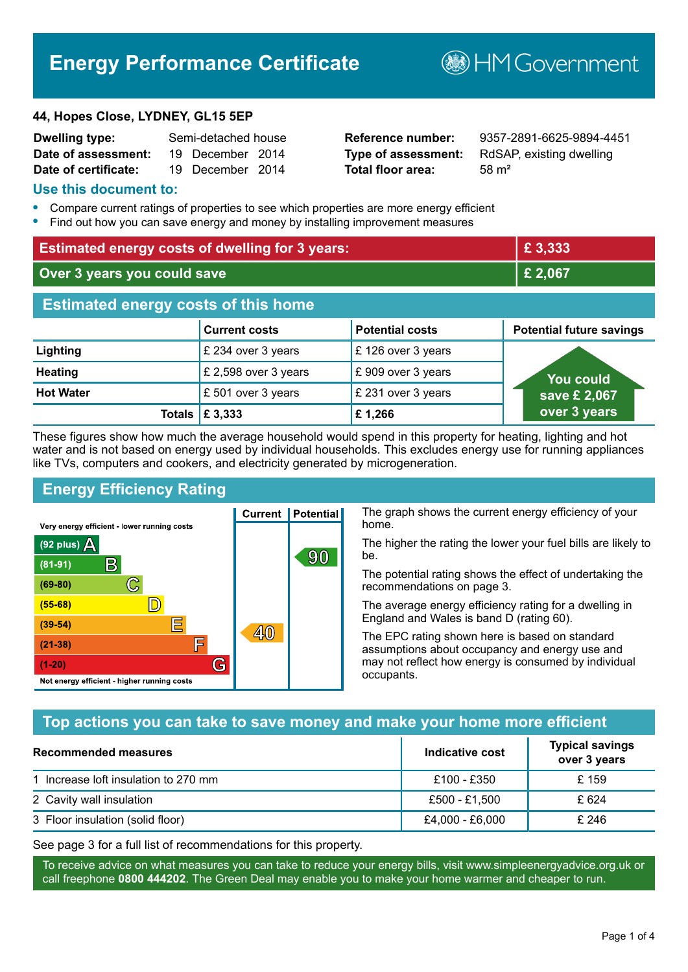# **Energy Performance Certificate**

#### **44, Hopes Close, LYDNEY, GL15 5EP**

| <b>Dwelling type:</b> | Semi-detached house |  |
|-----------------------|---------------------|--|
| Date of assessment:   | 19 December 2014    |  |
| Date of certificate:  | 19 December 2014    |  |

# **Total floor area:** 58 m<sup>2</sup>

**Reference number:** 9357-2891-6625-9894-4451 **Type of assessment:** RdSAP, existing dwelling

**B**HM Government

#### **Use this document to:**

- **•** Compare current ratings of properties to see which properties are more energy efficient
- **•** Find out how you can save energy and money by installing improvement measures

| <b>Estimated energy costs of dwelling for 3 years:</b> |                      |                        | £3,333                          |  |
|--------------------------------------------------------|----------------------|------------------------|---------------------------------|--|
| Over 3 years you could save                            |                      |                        | £ 2,067                         |  |
| <b>Estimated energy costs of this home</b>             |                      |                        |                                 |  |
|                                                        | <b>Current costs</b> | <b>Potential costs</b> | <b>Potential future savings</b> |  |
| Lighting                                               | £ 234 over 3 years   | £126 over 3 years      |                                 |  |
| <b>Heating</b>                                         | £ 2,598 over 3 years | £909 over 3 years      | You could                       |  |
| <b>Hot Water</b>                                       | £501 over 3 years    | £ 231 over 3 years     | save £ 2,067                    |  |
| Totals                                                 | £ 3,333              | £1,266                 | over 3 years                    |  |

These figures show how much the average household would spend in this property for heating, lighting and hot water and is not based on energy used by individual households. This excludes energy use for running appliances like TVs, computers and cookers, and electricity generated by microgeneration.

**Current | Potential** 

 $40$ 

90

# **Energy Efficiency Rating**

 $\mathbb{C}$ 

 $\mathbb{D}$ 

E

庐

G

Very energy efficient - lower running costs

 $\mathsf{R}% _{T}$ 

Not energy efficient - higher running costs

(92 plus)  $\Delta$ 

 $(81 - 91)$ 

 $(69 - 80)$ 

 $(55-68)$ 

 $(39 - 54)$ 

 $(21-38)$ 

 $(1-20)$ 

The graph shows the current energy efficiency of your home.

The higher the rating the lower your fuel bills are likely to be.

The potential rating shows the effect of undertaking the recommendations on page 3.

The average energy efficiency rating for a dwelling in England and Wales is band D (rating 60).

The EPC rating shown here is based on standard assumptions about occupancy and energy use and may not reflect how energy is consumed by individual occupants.

# **Top actions you can take to save money and make your home more efficient**

| <b>Recommended measures</b>          | Indicative cost | <b>Typical savings</b><br>over 3 years |
|--------------------------------------|-----------------|----------------------------------------|
| 1 Increase loft insulation to 270 mm | £100 - £350     | £ 159                                  |
| 2 Cavity wall insulation             | £500 - £1,500   | £ 624                                  |
| 3 Floor insulation (solid floor)     | £4,000 - £6,000 | £ 246                                  |

See page 3 for a full list of recommendations for this property.

To receive advice on what measures you can take to reduce your energy bills, visit www.simpleenergyadvice.org.uk or call freephone **0800 444202**. The Green Deal may enable you to make your home warmer and cheaper to run.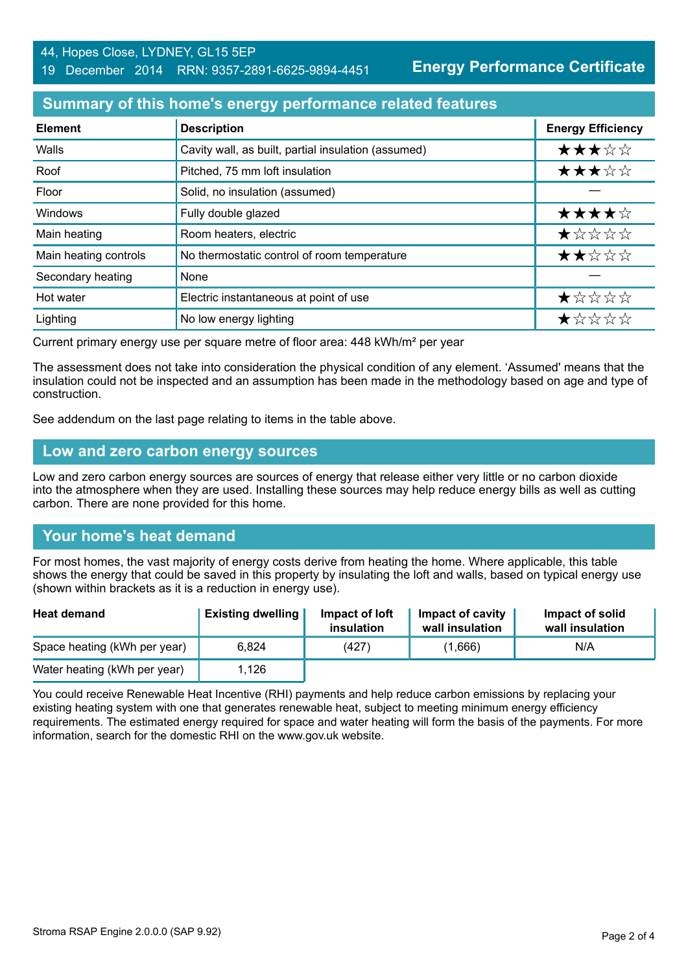**Energy Performance Certificate**

# **Summary of this home's energy performance related features**

| <b>Element</b>        | <b>Description</b>                                  | <b>Energy Efficiency</b> |
|-----------------------|-----------------------------------------------------|--------------------------|
| Walls                 | Cavity wall, as built, partial insulation (assumed) | ★★★☆☆                    |
| Roof                  | Pitched, 75 mm loft insulation                      | ★★★☆☆                    |
| Floor                 | Solid, no insulation (assumed)                      |                          |
| Windows               | Fully double glazed                                 | ★★★★☆                    |
| Main heating          | Room heaters, electric                              | $\star$ * * * *          |
| Main heating controls | No thermostatic control of room temperature         | ★★☆☆☆                    |
| Secondary heating     | None                                                |                          |
| Hot water             | Electric instantaneous at point of use              | ★☆☆☆☆                    |
| Lighting              | No low energy lighting                              | *****                    |

Current primary energy use per square metre of floor area: 448 kWh/m² per year

The assessment does not take into consideration the physical condition of any element. 'Assumed' means that the insulation could not be inspected and an assumption has been made in the methodology based on age and type of construction.

See addendum on the last page relating to items in the table above.

#### **Low and zero carbon energy sources**

Low and zero carbon energy sources are sources of energy that release either very little or no carbon dioxide into the atmosphere when they are used. Installing these sources may help reduce energy bills as well as cutting carbon. There are none provided for this home.

# **Your home's heat demand**

For most homes, the vast majority of energy costs derive from heating the home. Where applicable, this table shows the energy that could be saved in this property by insulating the loft and walls, based on typical energy use (shown within brackets as it is a reduction in energy use).

| <b>Heat demand</b>           | <b>Existing dwelling</b> | Impact of loft<br>insulation | Impact of cavity<br>wall insulation | Impact of solid<br>wall insulation |
|------------------------------|--------------------------|------------------------------|-------------------------------------|------------------------------------|
| Space heating (kWh per year) | 6.824                    | (427)                        | (1,666)                             | N/A                                |
| Water heating (kWh per year) | 1.126                    |                              |                                     |                                    |

You could receive Renewable Heat Incentive (RHI) payments and help reduce carbon emissions by replacing your existing heating system with one that generates renewable heat, subject to meeting minimum energy efficiency requirements. The estimated energy required for space and water heating will form the basis of the payments. For more information, search for the domestic RHI on the www.gov.uk website.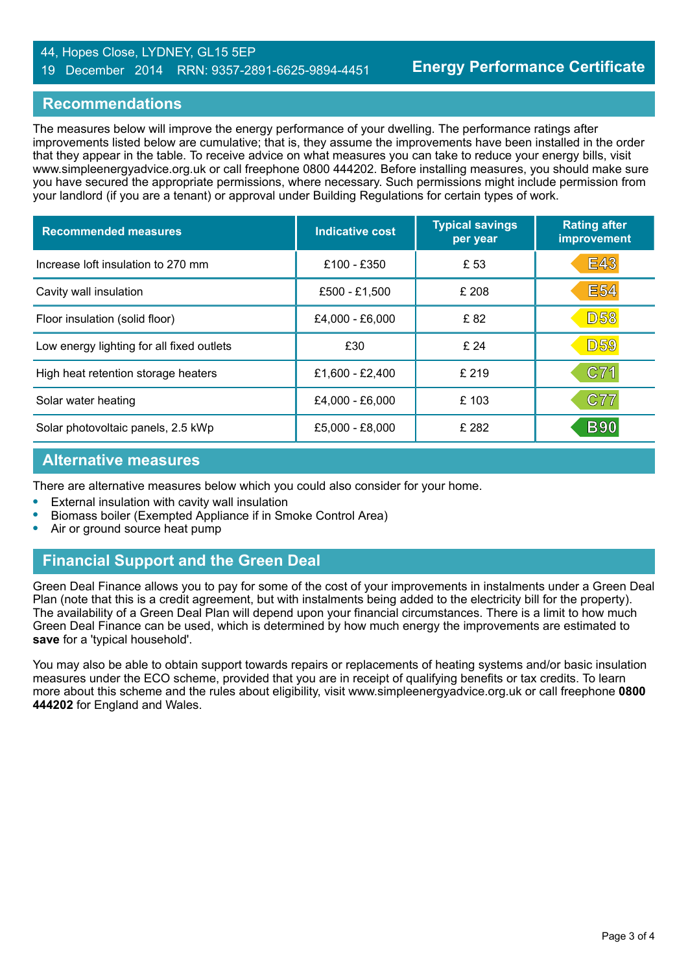#### 44, Hopes Close, LYDNEY, GL15 5EP 19 December 2014 RRN: 9357-2891-6625-9894-4451

# **Recommendations**

The measures below will improve the energy performance of your dwelling. The performance ratings after improvements listed below are cumulative; that is, they assume the improvements have been installed in the order that they appear in the table. To receive advice on what measures you can take to reduce your energy bills, visit www.simpleenergyadvice.org.uk or call freephone 0800 444202. Before installing measures, you should make sure you have secured the appropriate permissions, where necessary. Such permissions might include permission from your landlord (if you are a tenant) or approval under Building Regulations for certain types of work.

| <b>Recommended measures</b>               | Indicative cost   | <b>Typical savings</b><br>per year | <b>Rating after</b><br>improvement |
|-------------------------------------------|-------------------|------------------------------------|------------------------------------|
| Increase loft insulation to 270 mm        | £100 - £350       | £ 53                               | <b>E43</b>                         |
| Cavity wall insulation                    | £500 - £1,500     | £ 208                              | <b>E54</b>                         |
| Floor insulation (solid floor)            | £4,000 - £6,000   | £82                                | <b>D58</b>                         |
| Low energy lighting for all fixed outlets | £30               | £ 24                               | <b>D59</b>                         |
| High heat retention storage heaters       | £1,600 - £2,400   | £ 219                              | C71                                |
| Solar water heating                       | £4,000 - £6,000   | £103                               | <b>C77</b>                         |
| Solar photovoltaic panels, 2.5 kWp        | $£5,000 - £8,000$ | £ 282                              | <b>B90</b>                         |

#### **Alternative measures**

There are alternative measures below which you could also consider for your home.

- **•** External insulation with cavity wall insulation
- **•** Biomass boiler (Exempted Appliance if in Smoke Control Area)
- **•** Air or ground source heat pump

# **Financial Support and the Green Deal**

Green Deal Finance allows you to pay for some of the cost of your improvements in instalments under a Green Deal Plan (note that this is a credit agreement, but with instalments being added to the electricity bill for the property). The availability of a Green Deal Plan will depend upon your financial circumstances. There is a limit to how much Green Deal Finance can be used, which is determined by how much energy the improvements are estimated to **save** for a 'typical household'.

You may also be able to obtain support towards repairs or replacements of heating systems and/or basic insulation measures under the ECO scheme, provided that you are in receipt of qualifying benefits or tax credits. To learn more about this scheme and the rules about eligibility, visit www.simpleenergyadvice.org.uk or call freephone **0800 444202** for England and Wales.